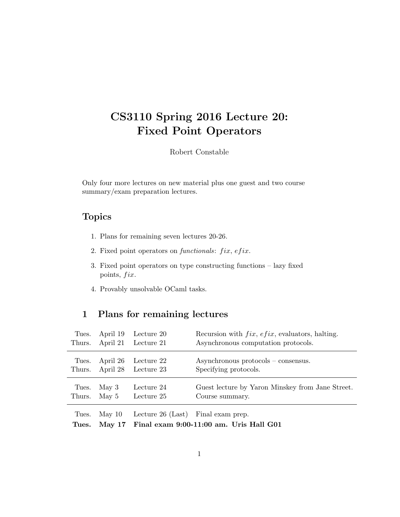# CS3110 Spring 2016 Lecture 20: Fixed Point Operators

Robert Constable

Only four more lectures on new material plus one guest and two course summary/exam preparation lectures.

## Topics

- 1. Plans for remaining seven lectures 20-26.
- 2. Fixed point operators on functionals:  $fix, efix$ .
- 3. Fixed point operators on type constructing functions lazy fixed points,  $fix.$
- 4. Provably unsolvable OCaml tasks.

## 1 Plans for remaining lectures

| Tues.  | April 19 | Lecture 20 | Recursion with $fix, efix$ , evaluators, halting. |
|--------|----------|------------|---------------------------------------------------|
| Thurs. | April 21 | Lecture 21 | Asynchronous computation protocols.               |
| Tues.  | April 26 | Lecture 22 | $Asynchronous protocols - consensus.$             |
| Thurs. | April 28 | Lecture 23 | Specifying protocols.                             |
| Tues.  | May $3$  | Lecture 24 | Guest lecture by Yaron Minskey from Jane Street.  |
| Thurs. | May 5    | Lecture 25 | Course summary.                                   |

Tues. May 10 Lecture 26 (Last) Final exam prep.

|  |  | Tues. May 17 Final exam 9:00-11:00 am. Uris Hall G01 |  |  |  |  |  |
|--|--|------------------------------------------------------|--|--|--|--|--|
|--|--|------------------------------------------------------|--|--|--|--|--|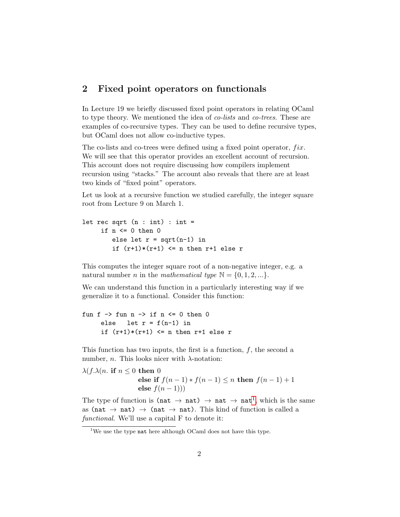### 2 Fixed point operators on functionals

In Lecture 19 we briefly discussed fixed point operators in relating OCaml to type theory. We mentioned the idea of *co-lists* and *co-trees*. These are examples of co-recursive types. They can be used to define recursive types, but OCaml does not allow co-inductive types.

The co-lists and co-trees were defined using a fixed point operator,  $fix$ . We will see that this operator provides an excellent account of recursion. This account does not require discussing how compilers implement recursion using "stacks." The account also reveals that there are at least two kinds of "fixed point" operators.

Let us look at a recursive function we studied carefully, the integer square root from Lecture 9 on March 1.

```
let rec sqrt (n : int) : int =if n \leq 0 then 0else let r = sqrt(n-1) in
        if (r+1)*(r+1) \leq n then r+1 else r
```
This computes the integer square root of a non-negative integer, e.g. a natural number *n* in the *mathematical type*  $\mathbb{N} = \{0, 1, 2, ...\}$ .

We can understand this function in a particularly interesting way if we generalize it to a functional. Consider this function:

```
fun f \rightarrow fun n \rightarrow if n \leftarrow 0 then 0
      else let r = f(n-1) in
      if (r+1)*(r+1) \leq n then r+1 else r
```
This function has two inputs, the first is a function, f, the second a number, *n*. This looks nicer with  $\lambda$ -notation:

```
\lambda(f.\lambda(n \text{ if } n \leq 0 \text{ then } 0else if f(n-1) * f(n-1) \leq n then f(n-1) + 1else f(n-1)))
```
The type of function is (nat  $\rightarrow$  nat)  $\rightarrow$  nat  $\rightarrow$  nat<sup>[1](#page-1-0)</sup>, which is the same as (nat  $\rightarrow$  nat)  $\rightarrow$  (nat  $\rightarrow$  nat). This kind of function is called a functional. We'll use a capital F to denote it:

<span id="page-1-0"></span><sup>&</sup>lt;sup>1</sup>We use the type nat here although OCaml does not have this type.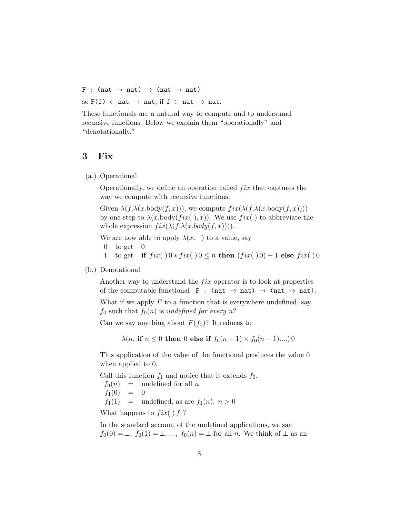F : (nat  $\rightarrow$  nat)  $\rightarrow$  (nat  $\rightarrow$  nat) so  $F(f) \in \text{nat} \to \text{nat}$ , if  $f \in \text{nat} \to \text{nat}$ .

These functionals are a natural way to compute and to understand recursive functions. Below we explain them "operationally" and "denotationally."

#### 3 Fix

(a.) Operational

Operationally, we define an operation called  $fix$  that captures the way we compute with recursive functions.

Given  $\lambda(f.\lambda(x.\text{body}(f,x)))$ , we compute  $fix(\lambda(f.\lambda(x.\text{body}(f,x))))$ by one step to  $\lambda(x.\text{body}(fix(),x))$ . We use  $fix($ ) to abbreviate the whole expression  $fix(\lambda(f.\lambda(x.body(f,x))))$ .

We are now able to apply  $\lambda(x)$  to a value, say

- $0$  to get  $0$
- 1 to get if  $fix( )0 * fix( )0 \le n$  then  $(fix( )0) + 1$  else  $fix( )0$
- (b.) Denotational

Another way to understand the  $fix$  operator is to look at properties of the computable functional  $F : (nat \rightarrow nat) \rightarrow (nat \rightarrow nat)$ .

What if we apply  $F$  to a function that is everywhere undefined, say  $f_0$  such that  $f_0(n)$  is undefined for every n?

Can we say anything about  $F(f_0)$ ? It reduces to

 $\lambda(n.$  if  $n \leq 0$  then 0 else if  $f_0(n-1) \times f_0(n-1)...)$  0

This application of the value of the functional produces the value 0 when applied to 0.

Call this function  $f_1$  and notice that it extends  $f_0$ .  $f_0(n)$  = undefined for all n  $f_1(0) = 0$  $f_1(1) =$  undefined, as are  $f_1(n)$ ,  $n > 0$ 

What happens to  $fix( ) f_1?$ 

In the standard account of the undefined applications, we say  $f_0(0) = \perp, f_0(1) = \perp, ..., f_0(n) = \perp$  for all n. We think of  $\perp$  as an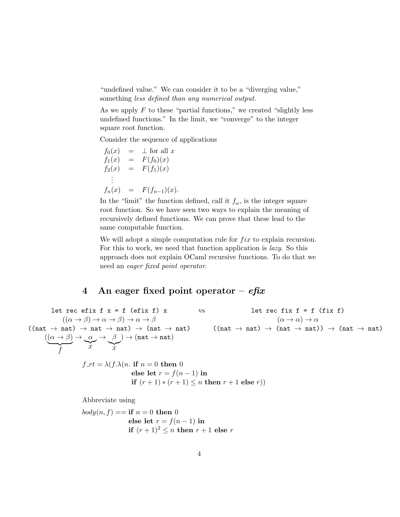"undefined value." We can consider it to be a "diverging value," something *less defined than any numerical output*.

As we apply  $F$  to these "partial functions," we created "slightly less undefined functions." In the limit, we "converge" to the integer square root function.

Consider the sequence of applications

$$
f_0(x) = \perp \text{ for all } x \nf_1(x) = F(f_0)(x) \nf_2(x) = F(f_1)(x) \n\vdots \nf_n(x) = F(f_{n-1})(x).
$$

In the "limit" the function defined, call it  $f_{\omega}$ , is the integer square root function. So we have seen two ways to explain the meaning of recursively defined functions. We can prove that these lead to the same computable function.

We will adopt a simple computation rule for  $fix$  to explain recursion. For this to work, we need that function application is lazy. So this approach does not explain OCaml recursive functions. To do that we need an eager fixed point operator.

## 4 An eager fixed point operator –  $efix$

let rec efix  $f$   $x = f$  (efix  $f$ )  $x$  vs let rec fix  $f = f$  (fix  $f$ )  $((\alpha \to \beta) \to \alpha \to \beta) \to \alpha \to \beta$  ( $\alpha \to \alpha$ )  $\to \alpha$  $((nat \rightarrow nat) \rightarrow nat \rightarrow nat) \rightarrow (nat \rightarrow nat)$   $((nat \rightarrow nat) \rightarrow (nat \rightarrow nat)) \rightarrow (nat \rightarrow nat)$  $((\alpha \rightarrow \beta)$  $\overline{f}$  $\rightarrow$   $\alpha$  $\sum_{x}$  $\rightarrow$   $\beta$  $\sum_{x}$  $) \rightarrow (nat \rightarrow nat)$ 

$$
f_{-}rt = \lambda(f.\lambda(n. \text{ if } n = 0 \text{ then } 0
$$
  
else let  $r = f(n - 1)$  in  
if  $(r + 1) * (r + 1) \le n$  then  $r + 1$  else  $r$ )

Abbreviate using

$$
body(n, f) == \textbf{if } n = 0 \textbf{ then } 0
$$
  

$$
\textbf{else let } r = f(n-1) \textbf{ in}
$$
  

$$
\textbf{if } (r+1)^2 \le n \textbf{ then } r+1 \textbf{ else } r
$$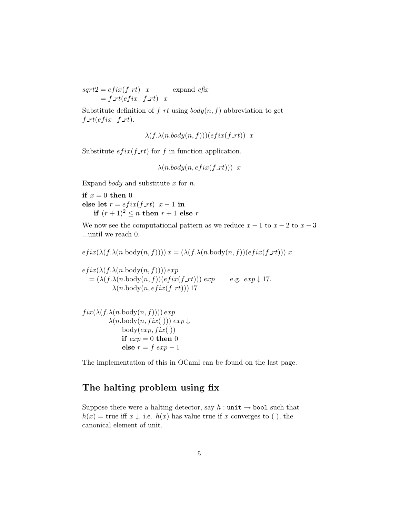$sqrt{2} = e f i x (f_r t)$  x expand  $e f x$  $= f_{r} t (efix f_{r} t) x$ 

Substitute definition of  $f$ <sub>-rt</sub> using  $body(n, f)$  abbreviation to get  $f_{\mathcal{I}} r t (efix \text{ } f_{\mathcal{I}} r t).$ 

 $\lambda(f.\lambda(n.body(n, f)))(efix(f_rt))$  x

Substitute  $eff\_rt$  for f in function application.

$$
\lambda(n.body(n, \text{efix}(f_\text{r}t)))
$$
 x

Expand *body* and substitute  $x$  for  $n$ .

if  $x = 0$  then 0 else let  $r = e f i x (f_r t) x - 1$  in if  $(r+1)^2 \leq n$  then  $r+1$  else r

We now see the computational pattern as we reduce  $x - 1$  to  $x - 2$  to  $x - 3$ ...until we reach 0.

$$
efix(\lambda(f.\lambda(n.\text{body}(n, f)))) x = (\lambda(f.\lambda(n.\text{body}(n, f))(efix(f_r t))) x
$$

 $efix(\lambda(f.\lambda(n.\text{body}(n, f))))exp$  $= (\lambda(f.\lambda(n.\text{body}(n, f))(efix(f.rt))) \exp$  e.g.  $exp \downarrow 17$ .  $\lambda(n.\text{body}(n, \text{efix}(f_\textit{r}t)))$  17

$$
\begin{array}{c} fix(\lambda(f.\lambda(n.\text{body}(n,f))))\,exp\\ \lambda(n.\text{body}(n,fix(\ )))\,exp\downarrow\\ \text{body}(\text{exp},fix(\ ) )\\ \text{if}\,\,exp=0\,\,\text{then}\,\,0\\ \text{else}\,\,r=f\,\,\text{exp}-1\end{array}
$$

The implementation of this in OCaml can be found on the last page.

## The halting problem using fix

Suppose there were a halting detector, say  $h : \text{unit} \rightarrow \text{bool}$  such that  $h(x) =$  true iff  $x \downarrow$ , i.e.  $h(x)$  has value true if x converges to (), the canonical element of unit.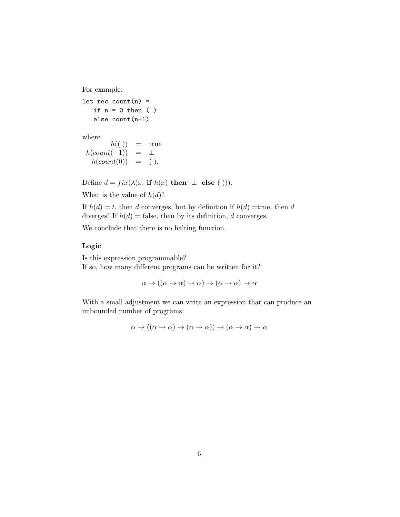For example:

let rec  $count(n) =$ if  $n = 0$  then ( ) else count(n-1)

where

 $h(())$  = true  $h(count(-1)) = \perp$  $h(count(0)) = ($ .

Define  $d = fix(\lambda(x, \text{ if } h(x) \text{ then } \perp \text{ else } ()))$ .

What is the value of  $h(d)$ ?

If  $h(d) = t$ , then d converges, but by definition if  $h(d) =$ true, then d diverges! If  $h(d) =$  false, then by its definition, d converges.

We conclude that there is no halting function.

#### Logic

Is this expression programmable? If so, how many different programs can be written for it?

$$
\alpha \to ((\alpha \to \alpha) \to \alpha) \to (\alpha \to \alpha) \to \alpha
$$

With a small adjustment we can write an expression that can produce an unbounded number of programs:

$$
\alpha \to ((\alpha \to \alpha) \to (\alpha \to \alpha)) \to (\alpha \to \alpha) \to \alpha
$$